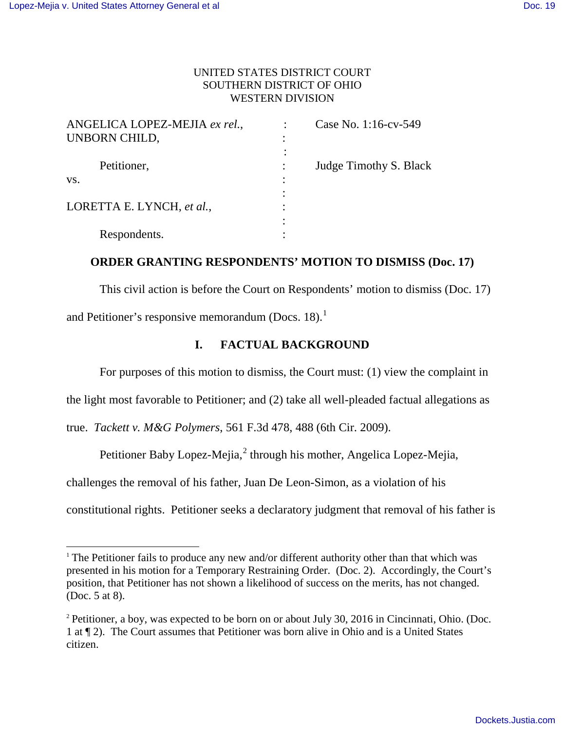-

## UNITED STATES DISTRICT COURT SOUTHERN DISTRICT OF OHIO WESTERN DIVISION

| ANGELICA LOPEZ-MEJIA ex rel., |   | Case No. 1:16-cv-549   |
|-------------------------------|---|------------------------|
| UNBORN CHILD,                 | ٠ |                        |
|                               |   |                        |
| Petitioner,                   |   | Judge Timothy S. Black |
| VS.                           |   |                        |
|                               |   |                        |
| LORETTA E. LYNCH, et al.,     |   |                        |
|                               |   |                        |
| Respondents.                  |   |                        |

## **ORDER GRANTING RESPONDENTS' MOTION TO DISMISS (Doc. 17)**

This civil action is before the Court on Respondents' motion to dismiss (Doc. 17) and Petitioner's responsive memorandum (Docs.  $18$ ).<sup>1</sup>

## **I. FACTUAL BACKGROUND**

For purposes of this motion to dismiss, the Court must: (1) view the complaint in

the light most favorable to Petitioner; and (2) take all well-pleaded factual allegations as

true. *Tackett v. M&G Polymers*, 561 F.3d 478, 488 (6th Cir. 2009).

Petitioner Baby Lopez-Mejia, $<sup>2</sup>$  through his mother, Angelica Lopez-Mejia,</sup>

challenges the removal of his father, Juan De Leon-Simon, as a violation of his

constitutional rights. Petitioner seeks a declaratory judgment that removal of his father is

<sup>&</sup>lt;sup>1</sup> The Petitioner fails to produce any new and/or different authority other than that which was presented in his motion for a Temporary Restraining Order. (Doc. 2). Accordingly, the Court's position, that Petitioner has not shown a likelihood of success on the merits, has not changed. (Doc. 5 at 8).

<sup>&</sup>lt;sup>2</sup> Petitioner, a boy, was expected to be born on or about July 30, 2016 in Cincinnati, Ohio. (Doc. 1 at ¶ 2). The Court assumes that Petitioner was born alive in Ohio and is a United States citizen.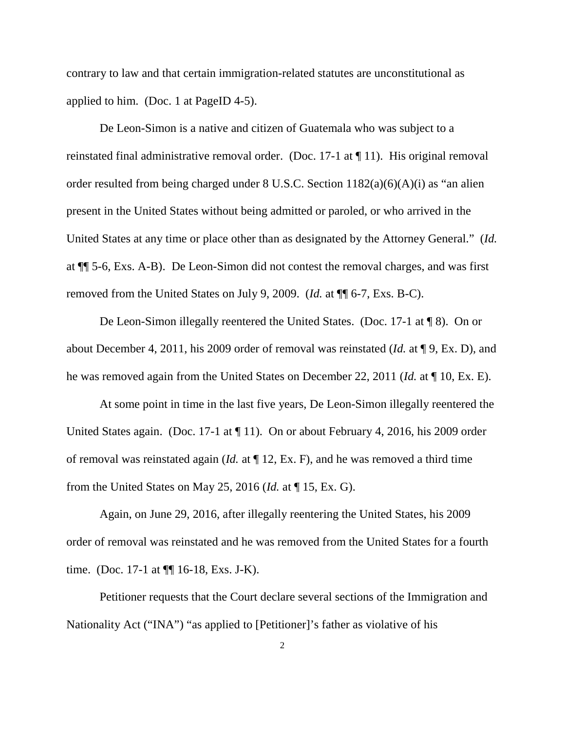contrary to law and that certain immigration-related statutes are unconstitutional as applied to him. (Doc. 1 at PageID 4-5).

De Leon-Simon is a native and citizen of Guatemala who was subject to a reinstated final administrative removal order. (Doc. 17-1 at ¶ 11). His original removal order resulted from being charged under 8 U.S.C. Section 1182(a)(6)(A)(i) as "an alien present in the United States without being admitted or paroled, or who arrived in the United States at any time or place other than as designated by the Attorney General." (*Id.* at ¶¶ 5-6, Exs. A-B). De Leon-Simon did not contest the removal charges, and was first removed from the United States on July 9, 2009. (*Id.* at ¶¶ 6-7, Exs. B-C).

De Leon-Simon illegally reentered the United States. (Doc. 17-1 at ¶ 8). On or about December 4, 2011, his 2009 order of removal was reinstated (*Id.* at ¶ 9, Ex. D), and he was removed again from the United States on December 22, 2011 (*Id.* at ¶ 10, Ex. E).

At some point in time in the last five years, De Leon-Simon illegally reentered the United States again. (Doc. 17-1 at ¶ 11). On or about February 4, 2016, his 2009 order of removal was reinstated again (*Id.* at ¶ 12, Ex. F), and he was removed a third time from the United States on May 25, 2016 (*Id.* at ¶ 15, Ex. G).

Again, on June 29, 2016, after illegally reentering the United States, his 2009 order of removal was reinstated and he was removed from the United States for a fourth time. (Doc. 17-1 at ¶¶ 16-18, Exs. J-K).

Petitioner requests that the Court declare several sections of the Immigration and Nationality Act ("INA") "as applied to [Petitioner]'s father as violative of his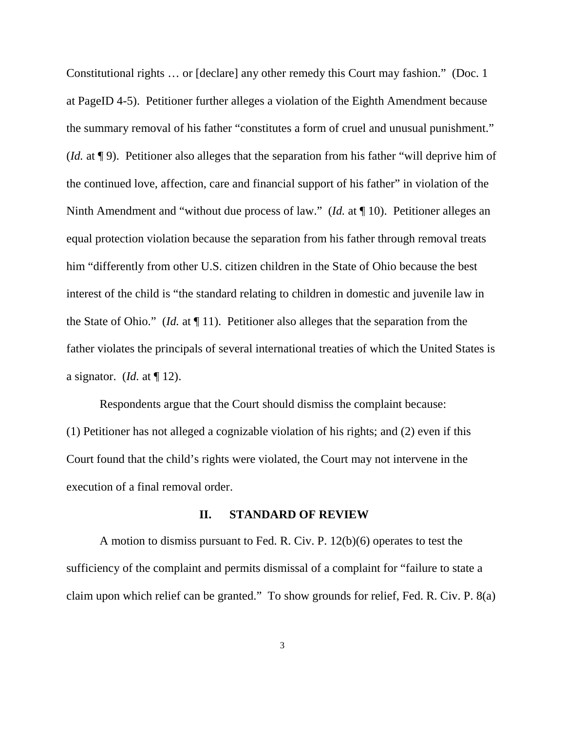Constitutional rights … or [declare] any other remedy this Court may fashion." (Doc. 1 at PageID 4-5). Petitioner further alleges a violation of the Eighth Amendment because the summary removal of his father "constitutes a form of cruel and unusual punishment." (*Id.* at ¶ 9). Petitioner also alleges that the separation from his father "will deprive him of the continued love, affection, care and financial support of his father" in violation of the Ninth Amendment and "without due process of law." (*Id.* at ¶ 10). Petitioner alleges an equal protection violation because the separation from his father through removal treats him "differently from other U.S. citizen children in the State of Ohio because the best interest of the child is "the standard relating to children in domestic and juvenile law in the State of Ohio." (*Id.* at ¶ 11). Petitioner also alleges that the separation from the father violates the principals of several international treaties of which the United States is a signator. (*Id.* at ¶ 12).

Respondents argue that the Court should dismiss the complaint because: (1) Petitioner has not alleged a cognizable violation of his rights; and (2) even if this Court found that the child's rights were violated, the Court may not intervene in the execution of a final removal order.

#### **II. STANDARD OF REVIEW**

A motion to dismiss pursuant to Fed. R. Civ. P. 12(b)(6) operates to test the sufficiency of the complaint and permits dismissal of a complaint for "failure to state a claim upon which relief can be granted." To show grounds for relief, Fed. R. Civ. P. 8(a)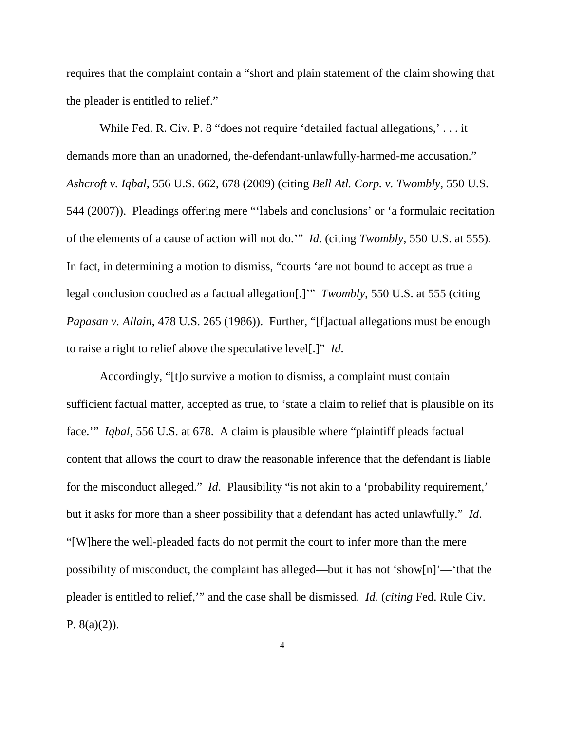requires that the complaint contain a "short and plain statement of the claim showing that the pleader is entitled to relief."

While Fed. R. Civ. P. 8 "does not require 'detailed factual allegations,'... it demands more than an unadorned, the-defendant-unlawfully-harmed-me accusation." *Ashcroft v. Iqbal*, 556 U.S. 662, 678 (2009) (citing *Bell Atl. Corp. v. Twombly*, 550 U.S. 544 (2007)). Pleadings offering mere "'labels and conclusions' or 'a formulaic recitation of the elements of a cause of action will not do.'" *Id*. (citing *Twombly*, 550 U.S. at 555). In fact, in determining a motion to dismiss, "courts 'are not bound to accept as true a legal conclusion couched as a factual allegation[.]'" *Twombly*, 550 U.S. at 555 (citing *Papasan v. Allain*, 478 U.S. 265 (1986)). Further, "[f]actual allegations must be enough to raise a right to relief above the speculative level[.]" *Id*.

Accordingly, "[t]o survive a motion to dismiss, a complaint must contain sufficient factual matter, accepted as true, to 'state a claim to relief that is plausible on its face.'" *Iqbal*, 556 U.S. at 678. A claim is plausible where "plaintiff pleads factual content that allows the court to draw the reasonable inference that the defendant is liable for the misconduct alleged." *Id*. Plausibility "is not akin to a 'probability requirement,' but it asks for more than a sheer possibility that a defendant has acted unlawfully." *Id*. "[W]here the well-pleaded facts do not permit the court to infer more than the mere possibility of misconduct, the complaint has alleged—but it has not 'show[n]'—'that the pleader is entitled to relief,'" and the case shall be dismissed. *Id*. (*citing* Fed. Rule Civ. P.  $8(a)(2)$ ).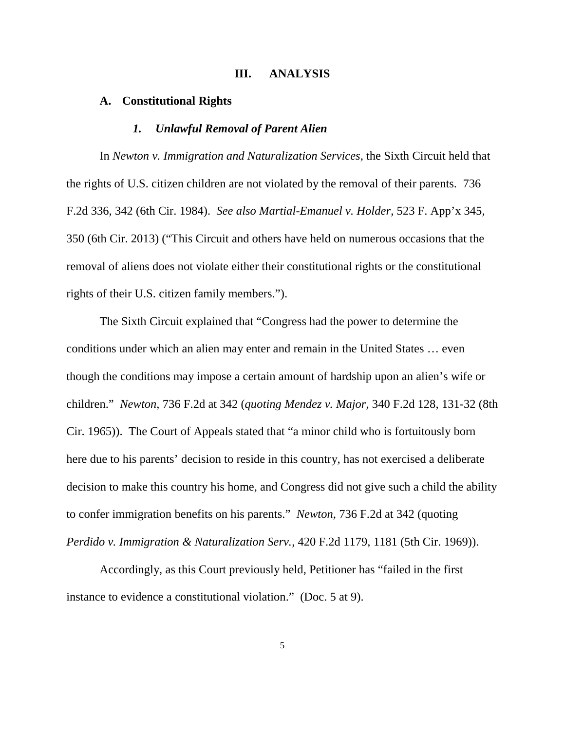## **III. ANALYSIS**

### **A. Constitutional Rights**

#### *1. Unlawful Removal of Parent Alien*

 In *Newton v. Immigration and Naturalization Services*, the Sixth Circuit held that the rights of U.S. citizen children are not violated by the removal of their parents. 736 F.2d 336, 342 (6th Cir. 1984). *See also Martial-Emanuel v. Holder*, 523 F. App'x 345, 350 (6th Cir. 2013) ("This Circuit and others have held on numerous occasions that the removal of aliens does not violate either their constitutional rights or the constitutional rights of their U.S. citizen family members.").

 The Sixth Circuit explained that "Congress had the power to determine the conditions under which an alien may enter and remain in the United States … even though the conditions may impose a certain amount of hardship upon an alien's wife or children." *Newton*, 736 F.2d at 342 (*quoting Mendez v. Major*, 340 F.2d 128, 131-32 (8th Cir. 1965)). The Court of Appeals stated that "a minor child who is fortuitously born here due to his parents' decision to reside in this country, has not exercised a deliberate decision to make this country his home, and Congress did not give such a child the ability to confer immigration benefits on his parents." *Newton*, 736 F.2d at 342 (quoting *Perdido v. Immigration & Naturalization Serv.*, 420 F.2d 1179, 1181 (5th Cir. 1969)).

 Accordingly, as this Court previously held, Petitioner has "failed in the first instance to evidence a constitutional violation." (Doc. 5 at 9).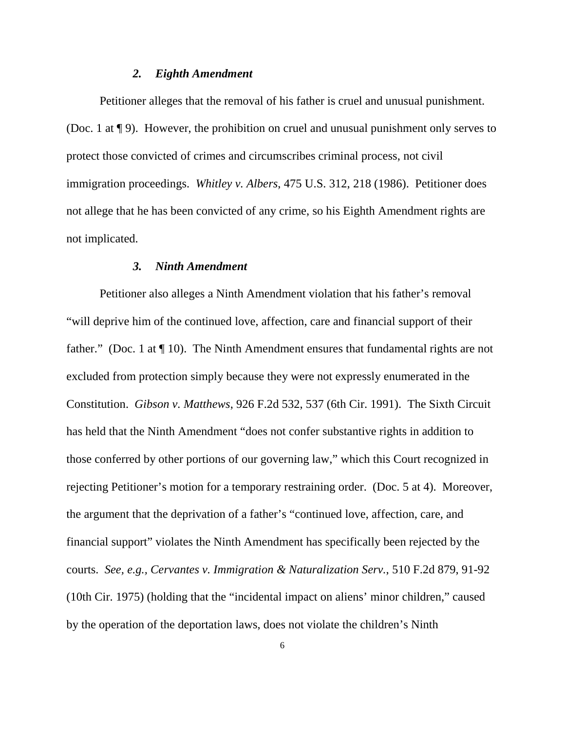## *2. Eighth Amendment*

 Petitioner alleges that the removal of his father is cruel and unusual punishment. (Doc. 1 at ¶ 9). However, the prohibition on cruel and unusual punishment only serves to protect those convicted of crimes and circumscribes criminal process, not civil immigration proceedings. *Whitley v. Albers*, 475 U.S. 312, 218 (1986). Petitioner does not allege that he has been convicted of any crime, so his Eighth Amendment rights are not implicated.

## *3. Ninth Amendment*

 Petitioner also alleges a Ninth Amendment violation that his father's removal "will deprive him of the continued love, affection, care and financial support of their father." (Doc. 1 at  $\P$  10). The Ninth Amendment ensures that fundamental rights are not excluded from protection simply because they were not expressly enumerated in the Constitution. *Gibson v. Matthews*, 926 F.2d 532, 537 (6th Cir. 1991). The Sixth Circuit has held that the Ninth Amendment "does not confer substantive rights in addition to those conferred by other portions of our governing law," which this Court recognized in rejecting Petitioner's motion for a temporary restraining order. (Doc. 5 at 4). Moreover, the argument that the deprivation of a father's "continued love, affection, care, and financial support" violates the Ninth Amendment has specifically been rejected by the courts. *See, e.g., Cervantes v. Immigration & Naturalization Serv.*, 510 F.2d 879, 91-92 (10th Cir. 1975) (holding that the "incidental impact on aliens' minor children," caused by the operation of the deportation laws, does not violate the children's Ninth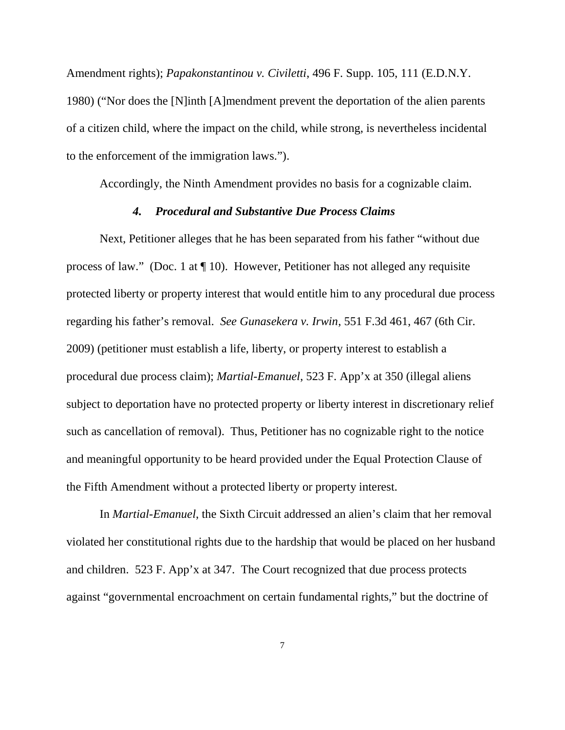Amendment rights); *Papakonstantinou v. Civiletti*, 496 F. Supp. 105, 111 (E.D.N.Y. 1980) ("Nor does the [N]inth [A]mendment prevent the deportation of the alien parents of a citizen child, where the impact on the child, while strong, is nevertheless incidental to the enforcement of the immigration laws.").

Accordingly, the Ninth Amendment provides no basis for a cognizable claim.

## *4. Procedural and Substantive Due Process Claims*

 Next, Petitioner alleges that he has been separated from his father "without due process of law." (Doc. 1 at ¶ 10). However, Petitioner has not alleged any requisite protected liberty or property interest that would entitle him to any procedural due process regarding his father's removal. *See Gunasekera v. Irwin*, 551 F.3d 461, 467 (6th Cir. 2009) (petitioner must establish a life, liberty, or property interest to establish a procedural due process claim); *Martial-Emanuel*, 523 F. App'x at 350 (illegal aliens subject to deportation have no protected property or liberty interest in discretionary relief such as cancellation of removal). Thus, Petitioner has no cognizable right to the notice and meaningful opportunity to be heard provided under the Equal Protection Clause of the Fifth Amendment without a protected liberty or property interest.

 In *Martial-Emanuel*, the Sixth Circuit addressed an alien's claim that her removal violated her constitutional rights due to the hardship that would be placed on her husband and children. 523 F. App'x at 347. The Court recognized that due process protects against "governmental encroachment on certain fundamental rights," but the doctrine of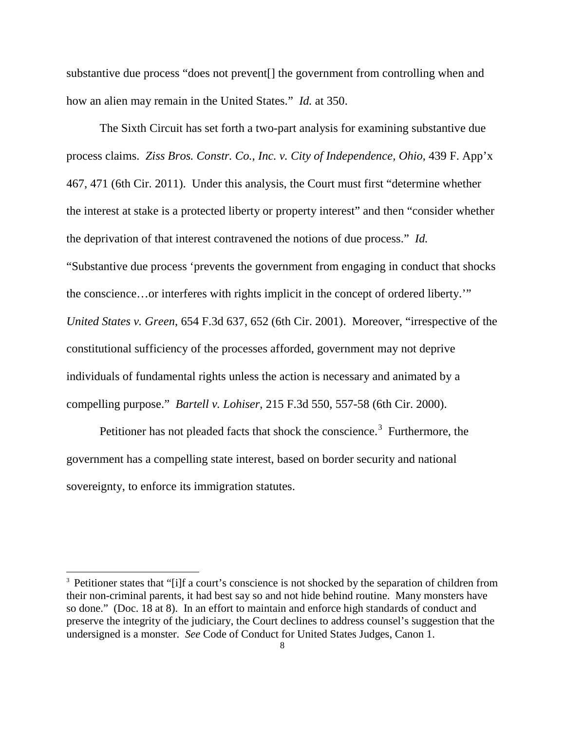substantive due process "does not prevent[] the government from controlling when and how an alien may remain in the United States." *Id.* at 350.

 The Sixth Circuit has set forth a two-part analysis for examining substantive due process claims. *Ziss Bros. Constr. Co., Inc. v. City of Independence, Ohio*, 439 F. App'x 467, 471 (6th Cir. 2011). Under this analysis, the Court must first "determine whether the interest at stake is a protected liberty or property interest" and then "consider whether the deprivation of that interest contravened the notions of due process." *Id.* "Substantive due process 'prevents the government from engaging in conduct that shocks the conscience…or interferes with rights implicit in the concept of ordered liberty.'" *United States v. Green*, 654 F.3d 637, 652 (6th Cir. 2001). Moreover, "irrespective of the constitutional sufficiency of the processes afforded, government may not deprive individuals of fundamental rights unless the action is necessary and animated by a compelling purpose." *Bartell v. Lohiser*, 215 F.3d 550, 557-58 (6th Cir. 2000).

Petitioner has not pleaded facts that shock the conscience.<sup>3</sup> Furthermore, the government has a compelling state interest, based on border security and national sovereignty, to enforce its immigration statutes.

<sup>&</sup>lt;sup>3</sup> Petitioner states that "[i]f a court's conscience is not shocked by the separation of children from their non-criminal parents, it had best say so and not hide behind routine. Many monsters have so done." (Doc. 18 at 8). In an effort to maintain and enforce high standards of conduct and preserve the integrity of the judiciary, the Court declines to address counsel's suggestion that the undersigned is a monster. *See* Code of Conduct for United States Judges, Canon 1.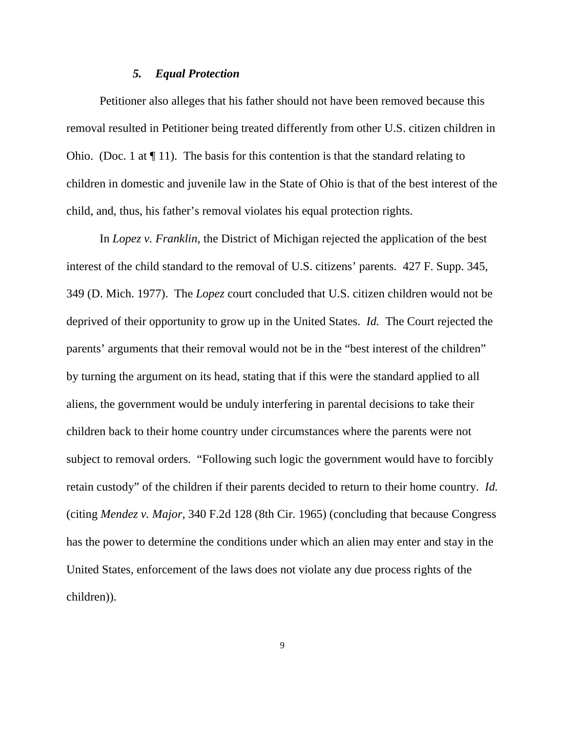## *5. Equal Protection*

 Petitioner also alleges that his father should not have been removed because this removal resulted in Petitioner being treated differently from other U.S. citizen children in Ohio. (Doc. 1 at  $\P$  11). The basis for this contention is that the standard relating to children in domestic and juvenile law in the State of Ohio is that of the best interest of the child, and, thus, his father's removal violates his equal protection rights.

 In *Lopez v. Franklin*, the District of Michigan rejected the application of the best interest of the child standard to the removal of U.S. citizens' parents. 427 F. Supp. 345, 349 (D. Mich. 1977). The *Lopez* court concluded that U.S. citizen children would not be deprived of their opportunity to grow up in the United States. *Id.* The Court rejected the parents' arguments that their removal would not be in the "best interest of the children" by turning the argument on its head, stating that if this were the standard applied to all aliens, the government would be unduly interfering in parental decisions to take their children back to their home country under circumstances where the parents were not subject to removal orders. "Following such logic the government would have to forcibly retain custody" of the children if their parents decided to return to their home country. *Id.* (citing *Mendez v. Major*, 340 F.2d 128 (8th Cir. 1965) (concluding that because Congress has the power to determine the conditions under which an alien may enter and stay in the United States, enforcement of the laws does not violate any due process rights of the children)).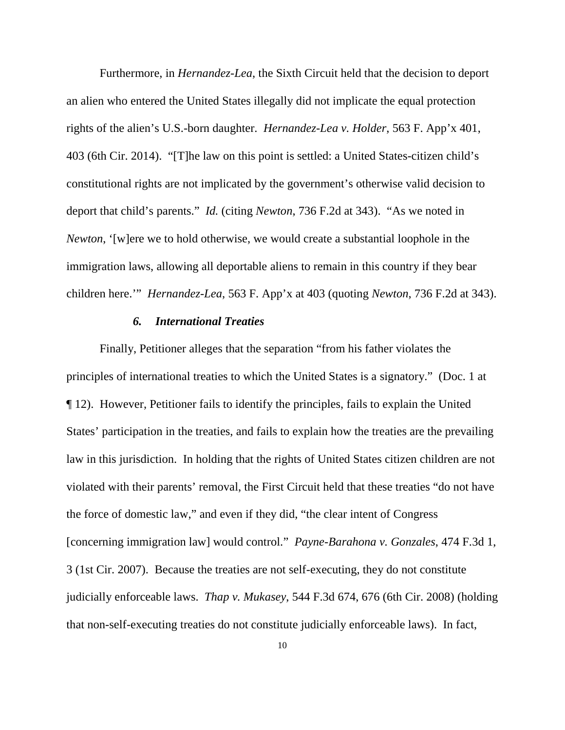Furthermore, in *Hernandez-Lea*, the Sixth Circuit held that the decision to deport an alien who entered the United States illegally did not implicate the equal protection rights of the alien's U.S.-born daughter. *Hernandez-Lea v. Holder*, 563 F. App'x 401, 403 (6th Cir. 2014). "[T]he law on this point is settled: a United States-citizen child's constitutional rights are not implicated by the government's otherwise valid decision to deport that child's parents." *Id.* (citing *Newton*, 736 F.2d at 343). "As we noted in *Newton*, '[w]ere we to hold otherwise, we would create a substantial loophole in the immigration laws, allowing all deportable aliens to remain in this country if they bear children here.'" *Hernandez-Lea*, 563 F. App'x at 403 (quoting *Newton*, 736 F.2d at 343).

## *6. International Treaties*

 Finally, Petitioner alleges that the separation "from his father violates the principles of international treaties to which the United States is a signatory." (Doc. 1 at ¶ 12). However, Petitioner fails to identify the principles, fails to explain the United States' participation in the treaties, and fails to explain how the treaties are the prevailing law in this jurisdiction. In holding that the rights of United States citizen children are not violated with their parents' removal, the First Circuit held that these treaties "do not have the force of domestic law," and even if they did, "the clear intent of Congress [concerning immigration law] would control." *Payne-Barahona v. Gonzales*, 474 F.3d 1, 3 (1st Cir. 2007). Because the treaties are not self-executing, they do not constitute judicially enforceable laws. *Thap v. Mukasey*, 544 F.3d 674, 676 (6th Cir. 2008) (holding that non-self-executing treaties do not constitute judicially enforceable laws). In fact,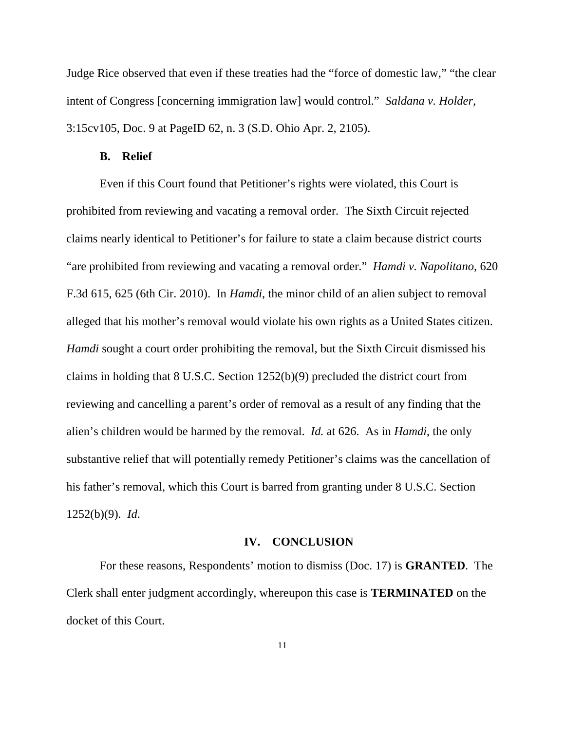Judge Rice observed that even if these treaties had the "force of domestic law," "the clear intent of Congress [concerning immigration law] would control." *Saldana v. Holder*, 3:15cv105, Doc. 9 at PageID 62, n. 3 (S.D. Ohio Apr. 2, 2105).

## **B. Relief**

 Even if this Court found that Petitioner's rights were violated, this Court is prohibited from reviewing and vacating a removal order. The Sixth Circuit rejected claims nearly identical to Petitioner's for failure to state a claim because district courts "are prohibited from reviewing and vacating a removal order." *Hamdi v. Napolitano*, 620 F.3d 615, 625 (6th Cir. 2010). In *Hamdi*, the minor child of an alien subject to removal alleged that his mother's removal would violate his own rights as a United States citizen. *Hamdi* sought a court order prohibiting the removal, but the Sixth Circuit dismissed his claims in holding that 8 U.S.C. Section 1252(b)(9) precluded the district court from reviewing and cancelling a parent's order of removal as a result of any finding that the alien's children would be harmed by the removal. *Id.* at 626. As in *Hamdi*, the only substantive relief that will potentially remedy Petitioner's claims was the cancellation of his father's removal, which this Court is barred from granting under 8 U.S.C. Section 1252(b)(9). *Id*.

## **IV. CONCLUSION**

For these reasons, Respondents' motion to dismiss (Doc. 17) is **GRANTED**. The Clerk shall enter judgment accordingly, whereupon this case is **TERMINATED** on the docket of this Court.